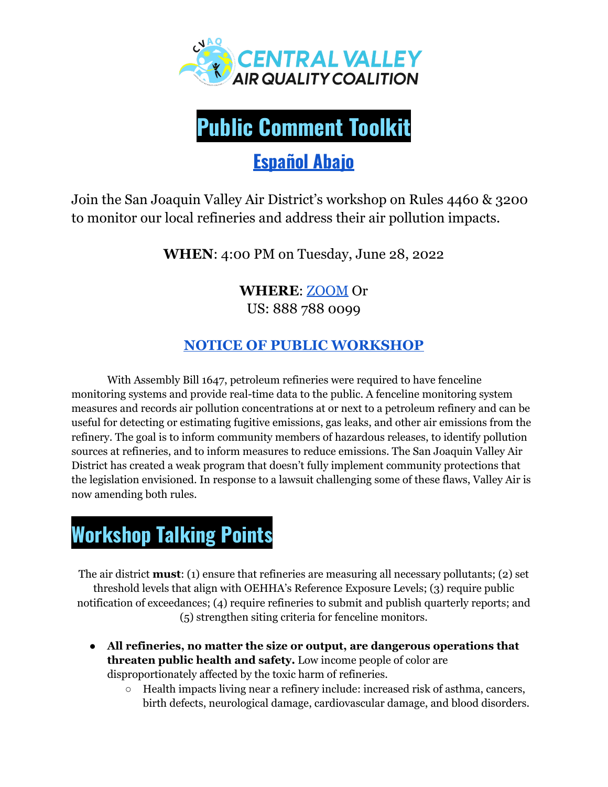



## **[Español](#page-2-0) Abajo**

Join the San Joaquin Valley Air District's workshop on Rules 4460 & 3200 to monitor our local refineries and address their air pollution impacts.

**WHEN**: 4:00 PM on Tuesday, June 28, 2022

### **WHERE**: [ZOOM](https://us06web.zoom.us/webinar/register/WN_9i1glmDmQ6KPUXGUX-X3BQ) Or

US: 888 788 0099

### **NOTICE OF PUBLIC [WORKSHOP](http://www.valleyair.org/workshops/postings/2022/06-28-22_r4460/notice.pdf)**

With Assembly Bill 1647, petroleum refineries were required to have fenceline monitoring systems and provide real-time data to the public. A fenceline monitoring system measures and records air pollution concentrations at or next to a petroleum refinery and can be useful for detecting or estimating fugitive emissions, gas leaks, and other air emissions from the refinery. The goal is to inform community members of hazardous releases, to identify pollution sources at refineries, and to inform measures to reduce emissions. The San Joaquin Valley Air District has created a weak program that doesn't fully implement community protections that the legislation envisioned. In response to a lawsuit challenging some of these flaws, Valley Air is now amending both rules.

# **Workshop Talking Points**

The air district **must**: (1) ensure that refineries are measuring all necessary pollutants; (2) set threshold levels that align with OEHHA's Reference Exposure Levels; (3) require public notification of exceedances; (4) require refineries to submit and publish quarterly reports; and (5) strengthen siting criteria for fenceline monitors.

- **All refineries, no matter the size or output, are dangerous operations that threaten public health and safety.** Low income people of color are disproportionately affected by the toxic harm of refineries.
	- Health impacts living near a refinery include: increased risk of asthma, cancers, birth defects, neurological damage, cardiovascular damage, and blood disorders.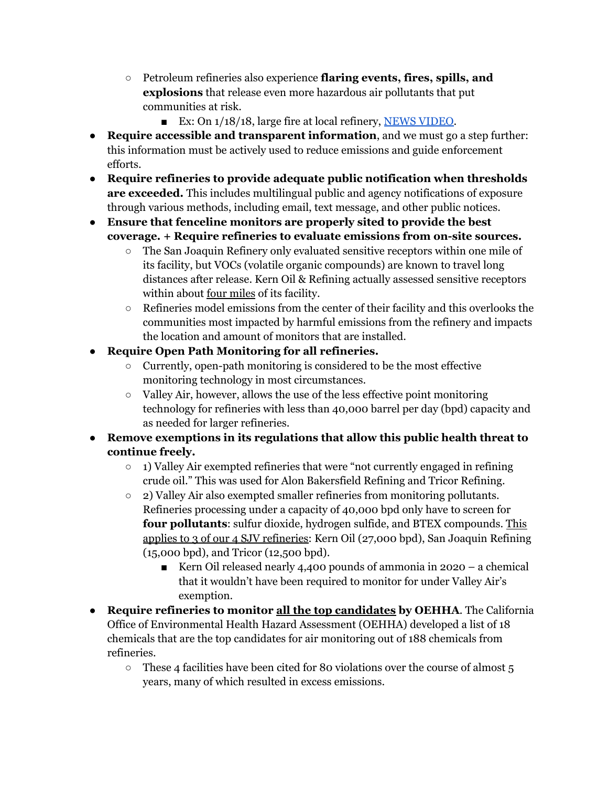- Petroleum refineries also experience **flaring events, fires, spills, and explosions** that release even more hazardous air pollutants that put communities at risk.
	- Ex: On 1/18/18, large fire at local refinery, NEWS [VIDEO](https://www.youtube.com/watch?v=s2IXXIDheCA).
- **Require accessible and transparent information**, and we must go a step further: this information must be actively used to reduce emissions and guide enforcement efforts.
- **● Require refineries to provide adequate public notification when thresholds are exceeded.** This includes multilingual public and agency notifications of exposure through various methods, including email, text message, and other public notices.

#### **● Ensure that fenceline monitors are properly sited to provide the best coverage. + Require refineries to evaluate emissions from on-site sources.**

- The San Joaquin Refinery only evaluated sensitive receptors within one mile of its facility, but VOCs (volatile organic compounds) are known to travel long distances after release. Kern Oil & Refining actually assessed sensitive receptors within about <u>four miles</u> of its facility.
- $\circ$  Refineries model emissions from the center of their facility and this overlooks the communities most impacted by harmful emissions from the refinery and impacts the location and amount of monitors that are installed.

#### **● Require Open Path Monitoring for all refineries.**

- Currently, open-path monitoring is considered to be the most effective monitoring technology in most circumstances.
- Valley Air, however, allows the use of the less effective point monitoring technology for refineries with less than 40,000 barrel per day (bpd) capacity and as needed for larger refineries.

#### **● Remove exemptions in its regulations that allow this public health threat to continue freely.**

- **○** 1) Valley Air exempted refineries that were "not currently engaged in refining crude oil." This was used for Alon Bakersfield Refining and Tricor Refining.
- **○** 2) Valley Air also exempted smaller refineries from monitoring pollutants. Refineries processing under a capacity of 40,000 bpd only have to screen for **four pollutants**: sulfur dioxide, hydrogen sulfide, and BTEX compounds. This applies to 3 of our 4 SJV refineries: Kern Oil (27,000 bpd), San Joaquin Refining (15,000 bpd), and Tricor (12,500 bpd).
	- Kern Oil released nearly 4,400 pounds of ammonia in 2020 a chemical that it wouldn't have been required to monitor for under Valley Air's exemption.
- **Require refineries to monitor all the top candidates by OEHHA**. The California Office of Environmental Health Hazard Assessment (OEHHA) developed a list of 18 chemicals that are the top candidates for air monitoring out of 188 chemicals from refineries.
	- $\circ$  These 4 facilities have been cited for 80 violations over the course of almost 5 years, many of which resulted in excess emissions.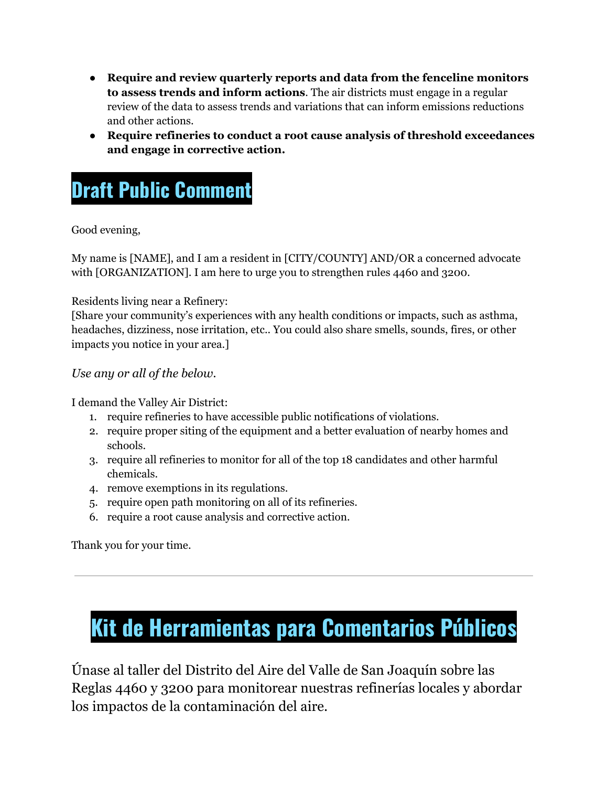- **Require and review quarterly reports and data from the fenceline monitors to assess trends and inform actions**. The air districts must engage in a regular review of the data to assess trends and variations that can inform emissions reductions and other actions.
- **Require refineries to conduct a root cause analysis of threshold exceedances and engage in corrective action.**

## **Draft Public Comment**

Good evening,

My name is [NAME], and I am a resident in [CITY/COUNTY] AND/OR a concerned advocate with [ORGANIZATION]. I am here to urge you to strengthen rules 4460 and 3200.

Residents living near a Refinery:

[Share your community's experiences with any health conditions or impacts, such as asthma, headaches, dizziness, nose irritation, etc.. You could also share smells, sounds, fires, or other impacts you notice in your area.]

*Use any or all of the below.*

I demand the Valley Air District:

- 1. require refineries to have accessible public notifications of violations.
- 2. require proper siting of the equipment and a better evaluation of nearby homes and schools.
- 3. require all refineries to monitor for all of the top 18 candidates and other harmful chemicals.
- 4. remove exemptions in its regulations.
- 5. require open path monitoring on all of its refineries.
- 6. require a root cause analysis and corrective action.

Thank you for your time.

# <span id="page-2-0"></span>**Kit de Herramientas para Comentarios Públicos**

Únase al taller del Distrito del Aire del Valle de San Joaquín sobre las Reglas 4460 y 3200 para monitorear nuestras refinerías locales y abordar los impactos de la contaminación del aire.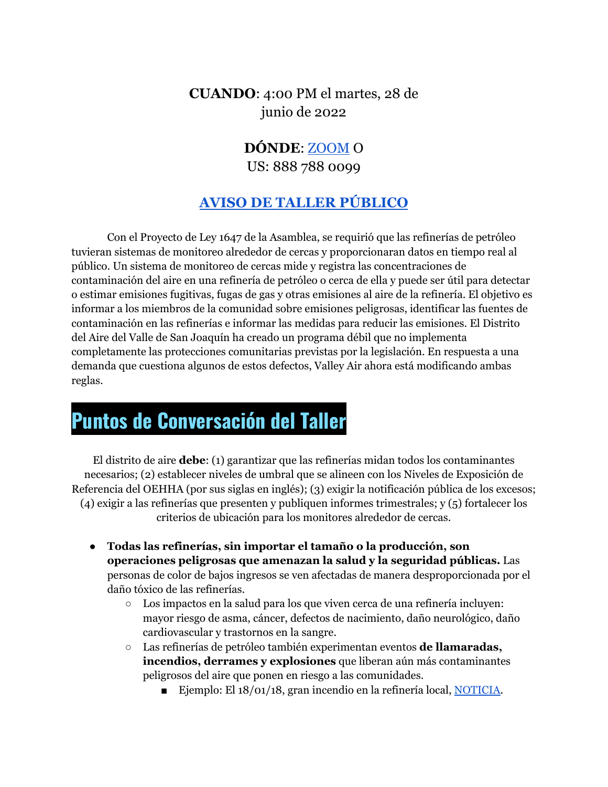**CUANDO**: 4:00 PM el martes, 28 de junio de 2022

### **DÓNDE**: [ZOOM](https://us06web.zoom.us/webinar/register/WN_9i1glmDmQ6KPUXGUX-X3BQ) O US: 888 788 0099

### **AVISO DE TALLER [PÚBLICO](http://www.valleyair.org/workshops/postings/2022/06-28-22_r4460/notice.pdf)**

Con el Proyecto de Ley 1647 de la Asamblea, se requirió que las refinerías de petróleo tuvieran sistemas de monitoreo alrededor de cercas y proporcionaran datos en tiempo real al público. Un sistema de monitoreo de cercas mide y registra las concentraciones de contaminación del aire en una refinería de petróleo o cerca de ella y puede ser útil para detectar o estimar emisiones fugitivas, fugas de gas y otras emisiones al aire de la refinería. El objetivo es informar a los miembros de la comunidad sobre emisiones peligrosas, identificar las fuentes de contaminación en las refinerías e informar las medidas para reducir las emisiones. El Distrito del Aire del Valle de San Joaquín ha creado un programa débil que no implementa completamente las protecciones comunitarias previstas por la legislación. En respuesta a una demanda que cuestiona algunos de estos defectos, Valley Air ahora está modificando ambas reglas.

## **Puntos de Conversación del Taller**

El distrito de aire **debe**: (1) garantizar que las refinerías midan todos los contaminantes necesarios; (2) establecer niveles de umbral que se alineen con los Niveles de Exposición de Referencia del OEHHA (por sus siglas en inglés); (3) exigir la notificación pública de los excesos; (4) exigir a las refinerías que presenten y publiquen informes trimestrales; y (5) fortalecer los criterios de ubicación para los monitores alrededor de cercas.

- **Todas las refinerías, sin importar el tamaño o la producción, son operaciones peligrosas que amenazan la salud y la seguridad públicas.** Las personas de color de bajos ingresos se ven afectadas de manera desproporcionada por el daño tóxico de las refinerías.
	- Los impactos en la salud para los que viven cerca de una refinería incluyen: mayor riesgo de asma, cáncer, defectos de nacimiento, daño neurológico, daño cardiovascular y trastornos en la sangre.
	- Las refinerías de petróleo también experimentan eventos **de llamaradas, incendios, derrames y explosiones** que liberan aún más contaminantes peligrosos del aire que ponen en riesgo a las comunidades.
		- Ejemplo: El 18/01/18, gran incendio en la refinería local, [NOTICIA](https://elpopularnews.com/2018/01/23/bomberos-municipales-apagan-el-incendio-de-una-refineria-en-lamont/).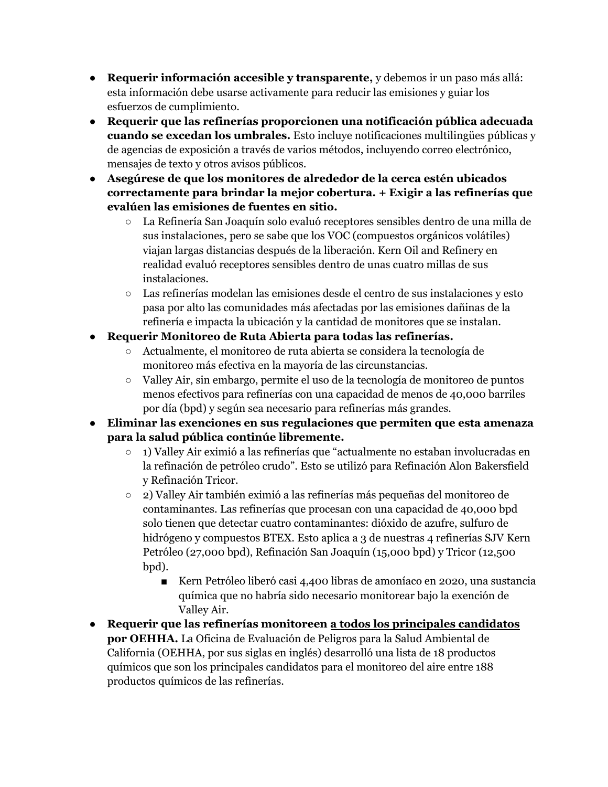- **Requerir información accesible y transparente,** y debemos ir un paso más allá: esta información debe usarse activamente para reducir las emisiones y guiar los esfuerzos de cumplimiento.
- **● Requerir que las refinerías proporcionen una notificación pública adecuada cuando se excedan los umbrales.** Esto incluye notificaciones multilingües públicas y de agencias de exposición a través de varios métodos, incluyendo correo electrónico, mensajes de texto y otros avisos públicos.
- **● Asegúrese de que los monitores de alrededor de la cerca estén ubicados correctamente para brindar la mejor cobertura. + Exigir a las refinerías que evalúen las emisiones de fuentes en sitio.**
	- La Refinería San Joaquín solo evaluó receptores sensibles dentro de una milla de sus instalaciones, pero se sabe que los VOC (compuestos orgánicos volátiles) viajan largas distancias después de la liberación. Kern Oil and Refinery en realidad evaluó receptores sensibles dentro de unas cuatro millas de sus instalaciones.
	- Las refinerías modelan las emisiones desde el centro de sus instalaciones y esto pasa por alto las comunidades más afectadas por las emisiones dañinas de la refinería e impacta la ubicación y la cantidad de monitores que se instalan.
- **● Requerir Monitoreo de Ruta Abierta para todas las refinerías.**
	- Actualmente, el monitoreo de ruta abierta se considera la tecnología de monitoreo más efectiva en la mayoría de las circunstancias.
	- Valley Air, sin embargo, permite el uso de la tecnología de monitoreo de puntos menos efectivos para refinerías con una capacidad de menos de 40,000 barriles por día (bpd) y según sea necesario para refinerías más grandes.
- **● Eliminar las exenciones en sus regulaciones que permiten que esta amenaza para la salud pública continúe libremente.**
	- 1) Valley Air eximió a las refinerías que "actualmente no estaban involucradas en la refinación de petróleo crudo". Esto se utilizó para Refinación Alon Bakersfield y Refinación Tricor.
	- **○** 2) Valley Air también eximió a las refinerías más pequeñas del monitoreo de contaminantes. Las refinerías que procesan con una capacidad de 40,000 bpd solo tienen que detectar cuatro contaminantes: dióxido de azufre, sulfuro de hidrógeno y compuestos BTEX. Esto aplica a 3 de nuestras 4 refinerías SJV Kern Petróleo (27,000 bpd), Refinación San Joaquín (15,000 bpd) y Tricor (12,500 bpd).
		- Kern Petróleo liberó casi 4,400 libras de amoníaco en 2020, una sustancia química que no habría sido necesario monitorear bajo la exención de Valley Air.
- **Requerir que las refinerías monitoreen a todos los principales candidatos por OEHHA.** La Oficina de Evaluación de Peligros para la Salud Ambiental de California (OEHHA, por sus siglas en inglés) desarrolló una lista de 18 productos químicos que son los principales candidatos para el monitoreo del aire entre 188 productos químicos de las refinerías.